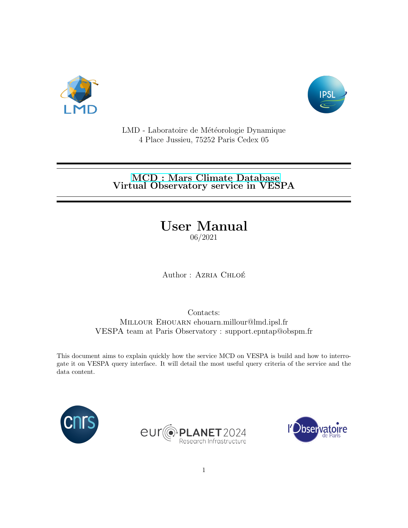



LMD - Laboratoire de Météorologie Dynamique 4 Place Jussieu, 75252 Paris Cedex 05

### [MCD : Mars Climate Database](http://www-mars.lmd.jussieu.fr/) Virtual Observatory service in VESPA

# User Manual

06/2021

Author : AZRIA CHLOÉ

Contacts: Millour Ehouarn ehouarn.millour@lmd.ipsl.fr VESPA team at Paris Observatory : support.epntap@obspm.fr

This document aims to explain quickly how the service MCD on VESPA is build and how to interrogate it on VESPA query interface. It will detail the most useful query criteria of the service and the data content.





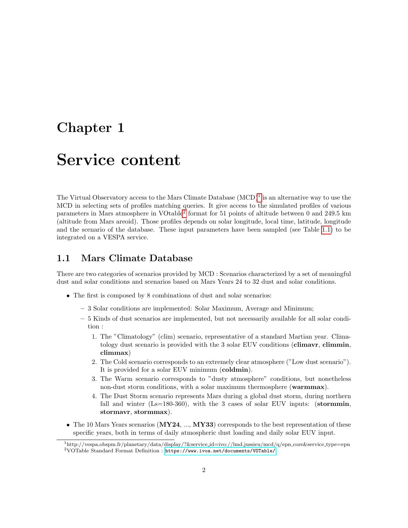### Chapter 1

## Service content

The Virtual Observatory access to the Mars Climate Database  $(MCD)^1$  $(MCD)^1$  is an alternative way to use the MCD in selecting sets of profiles matching queries. It give access to the simulated profiles of various parameters in Mars atmosphere in VOtable<sup>[2](#page-1-1)</sup> format for 51 points of altitude between 0 and 249.5 km (altitude from Mars areoid). Those profiles depends on solar longitude, local time, latitude, longitude and the scenario of the database. These input parameters have been sampled (see Table [1.1\)](#page-2-0) to be integrated on a VESPA service.

#### 1.1 Mars Climate Database

There are two categories of scenarios provided by MCD : Scenarios characterized by a set of meaningful dust and solar conditions and scenarios based on Mars Years 24 to 32 dust and solar conditions.

- The first is composed by 8 combinations of dust and solar scenarios:
	- 3 Solar conditions are implemented: Solar Maximum, Average and Minimum;
	- 5 Kinds of dust scenarios are implemented, but not necessarily available for all solar condition :
		- 1. The "Climatology" (clim) scenario, representative of a standard Martian year. Climatology dust scenario is provided with the 3 solar EUV conditions (climavr, climmin, climmax)
		- 2. The Cold scenario corresponds to an extremely clear atmosphere ("Low dust scenario"). It is provided for a solar EUV minimum (coldmin).
		- 3. The Warm scenario corresponds to "dusty atmosphere" conditions, but nonetheless non-dust storm conditions, with a solar maximum thermosphere (warmmax).
		- 4. The Dust Storm scenario represents Mars during a global dust storm, during northern fall and winter  $(Ls=180-360)$ , with the 3 cases of solar EUV inputs: (stormmin, stormavr, stormmax).
- The 10 Mars Years scenarios  $(MY24, ..., MY33)$  corresponds to the best representation of these specific years, both in terms of daily atmospheric dust loading and daily solar EUV input.

<span id="page-1-1"></span><span id="page-1-0"></span><sup>1</sup>http://vespa.obspm.fr/planetary/data/display/?&service id=ivo://lmd.jussieu/mcd/q/epn core&service type=epn <sup>2</sup>VOTable Standard Format Definition : <https://www.ivoa.net/documents/VOTable/>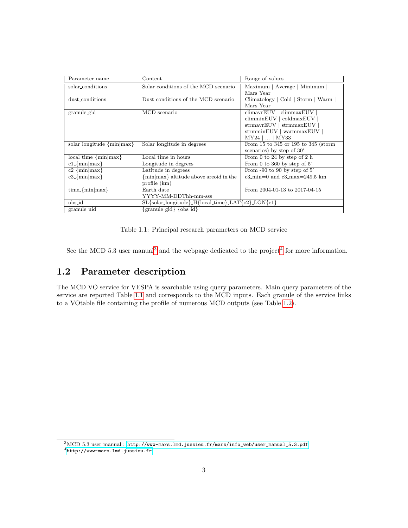| Parameter name                   | Content                                              | Range of values                                          |
|----------------------------------|------------------------------------------------------|----------------------------------------------------------|
| solar_conditions                 | Solar conditions of the MCD scenario                 | Maximum   Average   Minimum                              |
|                                  |                                                      | Mars Year                                                |
| dust_conditions                  | Dust conditions of the MCD scenario                  | Climatology   Cold   Storm   Warm                        |
|                                  |                                                      | Mars Year                                                |
| granule_gid                      | MCD scenario                                         | $climavr$ EUV $\overline{\phantom{a}}$ climmaxEUV        |
|                                  |                                                      | climminEUV   coldmaxEUV                                  |
|                                  |                                                      | strmavrEUV   strmmaxEUV                                  |
|                                  |                                                      | strmminEUV   warmmaxEUV                                  |
|                                  |                                                      | $MY24$      MY33                                         |
| $solar\_longitude_{min}$ $max$ } | Solar longitude in degrees                           | From 15 to 345 or 195 to 345 (storm                      |
|                                  |                                                      | scenarios) by step of 30°                                |
| $local_time-fmin max$ }          | Local time in hours                                  | From 0 to 24 by step of 2 h                              |
| $c1$ -{ $min max$ }              | Longitude in degrees                                 | From 0 to 360 by step of $5^\circ$                       |
| $c2$ -{min max}                  | Latitude in degrees                                  | From $-90$ to 90 by step of 5°                           |
| $c3$ -{ $min max$ }              | {min max} altitude above areoid in the               | $c3$ <sub>min</sub> =0 and $c3$ <sub>max</sub> =249.5 km |
|                                  | profile $(km)$                                       |                                                          |
| $time_{min}$  max}               | Earth date                                           | From 2004-01-13 to 2017-04-15                            |
|                                  | YYYY-MM-DDThh-mm-sss                                 |                                                          |
| obs_id                           | $SL$ {solar_longitude}_H{local_time}_LAT{c2}_LON{c1} |                                                          |
| granule_uid                      | $\{granule_gid\}$ { $obs_id$ }                       |                                                          |

<span id="page-2-0"></span>Table 1.1: Principal research parameters on MCD service

See the MCD 5.[3](#page-2-1) user manual<sup>3</sup> and the webpage dedicated to the project<sup>[4](#page-2-2)</sup> for more information.

### 1.2 Parameter description

The MCD VO service for VESPA is searchable using query parameters. Main query parameters of the service are reported Table [1.1](#page-2-0) and corresponds to the MCD inputs. Each granule of the service links to a VOtable file containing the profile of numerous MCD outputs (see Table [1.2\)](#page-3-0).

<span id="page-2-2"></span><span id="page-2-1"></span><sup>3</sup>MCD 5.3 user manual : [http://www-mars.lmd.jussieu.fr/mars/info\\_web/user\\_manual\\_5.3.pdf](http://www-mars.lmd.jussieu.fr/mars/info_web/user_manual_5.3.pdf) <sup>4</sup><http://www-mars.lmd.jussieu.fr>